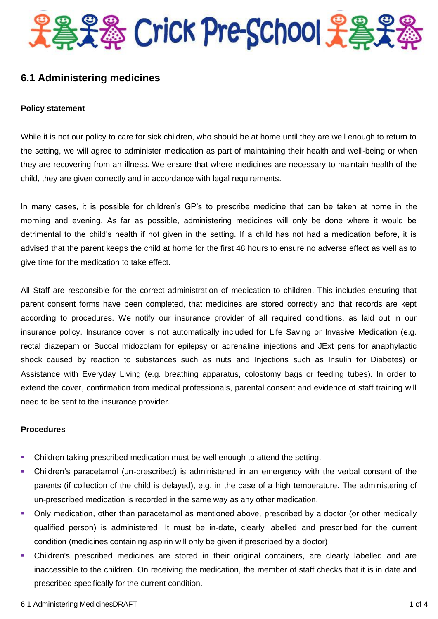

# **6.1 Administering medicines**

#### **Policy statement**

While it is not our policy to care for sick children, who should be at home until they are well enough to return to the setting, we will agree to administer medication as part of maintaining their health and well-being or when they are recovering from an illness. We ensure that where medicines are necessary to maintain health of the child, they are given correctly and in accordance with legal requirements.

In many cases, it is possible for children's GP's to prescribe medicine that can be taken at home in the morning and evening. As far as possible, administering medicines will only be done where it would be detrimental to the child's health if not given in the setting. If a child has not had a medication before, it is advised that the parent keeps the child at home for the first 48 hours to ensure no adverse effect as well as to give time for the medication to take effect.

All Staff are responsible for the correct administration of medication to children. This includes ensuring that parent consent forms have been completed, that medicines are stored correctly and that records are kept according to procedures. We notify our insurance provider of all required conditions, as laid out in our insurance policy. Insurance cover is not automatically included for Life Saving or Invasive Medication (e.g. rectal diazepam or Buccal midozolam for epilepsy or adrenaline injections and JExt pens for anaphylactic shock caused by reaction to substances such as nuts and Injections such as Insulin for Diabetes) or Assistance with Everyday Living (e.g. breathing apparatus, colostomy bags or feeding tubes). In order to extend the cover, confirmation from medical professionals, parental consent and evidence of staff training will need to be sent to the insurance provider.

## **Procedures**

- Children taking prescribed medication must be well enough to attend the setting.
- Children's paracetamol (un-prescribed) is administered in an emergency with the verbal consent of the parents (if collection of the child is delayed), e.g. in the case of a high temperature. The administering of un-prescribed medication is recorded in the same way as any other medication.
- Only medication, other than paracetamol as mentioned above, prescribed by a doctor (or other medically qualified person) is administered. It must be in-date, clearly labelled and prescribed for the current condition (medicines containing aspirin will only be given if prescribed by a doctor).
- Children's prescribed medicines are stored in their original containers, are clearly labelled and are inaccessible to the children. On receiving the medication, the member of staff checks that it is in date and prescribed specifically for the current condition.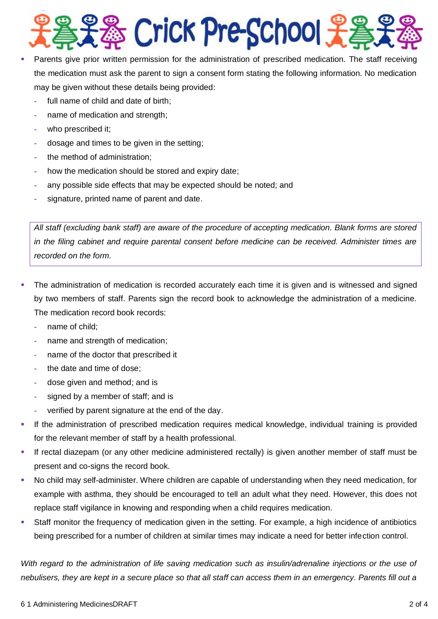

- Parents give prior written permission for the administration of prescribed medication. The staff receiving the medication must ask the parent to sign a consent form stating the following information. No medication may be given without these details being provided:
	- **-** full name of child and date of birth;
	- **-** name of medication and strength;
	- **-** who prescribed it;
	- **-** dosage and times to be given in the setting;
	- **-** the method of administration;
	- **-** how the medication should be stored and expiry date;
	- **-** any possible side effects that may be expected should be noted; and
	- **-** signature, printed name of parent and date.

*All staff (excluding bank staff) are aware of the procedure of accepting medication. Blank forms are stored in the filing cabinet and require parental consent before medicine can be received. Administer times are recorded on the form.*

- The administration of medication is recorded accurately each time it is given and is witnessed and signed by two members of staff. Parents sign the record book to acknowledge the administration of a medicine. The medication record book records:
	- **-** name of child;
	- **-** name and strength of medication;
	- **-** name of the doctor that prescribed it
	- **-** the date and time of dose;
	- **-** dose given and method; and is
	- **-** signed by a member of staff; and is
	- **-** verified by parent signature at the end of the day.
- If the administration of prescribed medication requires medical knowledge, individual training is provided for the relevant member of staff by a health professional.
- If rectal diazepam (or any other medicine administered rectally) is given another member of staff must be present and co-signs the record book.
- No child may self-administer. Where children are capable of understanding when they need medication, for example with asthma, they should be encouraged to tell an adult what they need. However, this does not replace staff vigilance in knowing and responding when a child requires medication.
- Staff monitor the frequency of medication given in the setting. For example, a high incidence of antibiotics being prescribed for a number of children at similar times may indicate a need for better infection control.

*With regard to the administration of life saving medication such as insulin/adrenaline injections or the use of nebulisers, they are kept in a secure place so that all staff can access them in an emergency. Parents fill out a*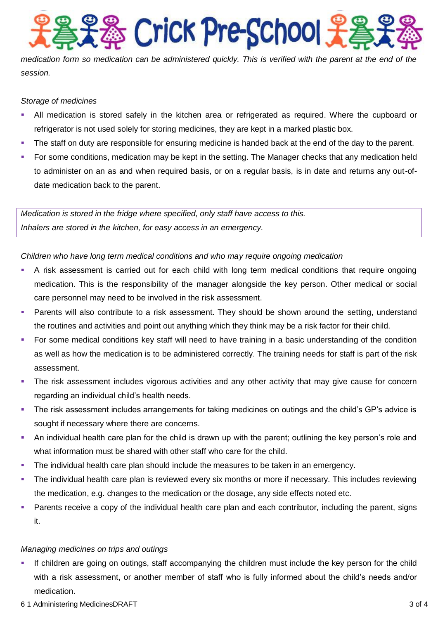**S** Crick Pre-School

*medication form so medication can be administered quickly. This is verified with the parent at the end of the session.*

## *Storage of medicines*

- All medication is stored safely in the kitchen area or refrigerated as required. Where the cupboard or refrigerator is not used solely for storing medicines, they are kept in a marked plastic box.
- The staff on duty are responsible for ensuring medicine is handed back at the end of the day to the parent.
- For some conditions, medication may be kept in the setting. The Manager checks that any medication held to administer on an as and when required basis, or on a regular basis, is in date and returns any out-ofdate medication back to the parent.

*Medication is stored in the fridge where specified, only staff have access to this. Inhalers are stored in the kitchen, for easy access in an emergency.* 

*Children who have long term medical conditions and who may require ongoing medication*

- A risk assessment is carried out for each child with long term medical conditions that require ongoing medication. This is the responsibility of the manager alongside the key person. Other medical or social care personnel may need to be involved in the risk assessment.
- Parents will also contribute to a risk assessment. They should be shown around the setting, understand the routines and activities and point out anything which they think may be a risk factor for their child.
- For some medical conditions key staff will need to have training in a basic understanding of the condition as well as how the medication is to be administered correctly. The training needs for staff is part of the risk assessment.
- The risk assessment includes vigorous activities and any other activity that may give cause for concern regarding an individual child's health needs.
- The risk assessment includes arrangements for taking medicines on outings and the child's GP's advice is sought if necessary where there are concerns.
- An individual health care plan for the child is drawn up with the parent; outlining the key person's role and what information must be shared with other staff who care for the child.
- The individual health care plan should include the measures to be taken in an emergency.
- The individual health care plan is reviewed every six months or more if necessary. This includes reviewing the medication, e.g. changes to the medication or the dosage, any side effects noted etc.
- Parents receive a copy of the individual health care plan and each contributor, including the parent, signs it.

## *Managing medicines on trips and outings*

- If children are going on outings, staff accompanying the children must include the key person for the child with a risk assessment, or another member of staff who is fully informed about the child's needs and/or medication.
- 6 1 Administering MedicinesDRAFT 3 of 4